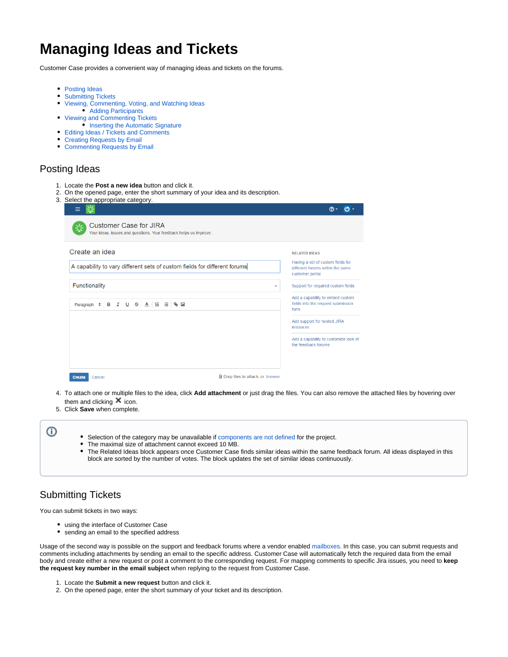# **Managing Ideas and Tickets**

Customer Case provides a convenient way of managing ideas and tickets on the forums.

- [Posting Ideas](#page-0-0)
- [Submitting Tickets](#page-0-1)
- [Viewing, Commenting, Voting, and Watching Ideas](#page-1-0)
	- [Adding Participants](#page-2-0)
- [Viewing and Commenting Tickets](#page-3-0)
	- [Inserting the Automatic Signature](#page-4-0)
- [Editing Ideas / Tickets and Comments](#page-5-0)
- [Creating Requests by Email](#page-6-0)
- [Commenting Requests by Email](#page-6-1)

### <span id="page-0-0"></span>Posting Ideas

- 1. Locate the **Post a new idea** button and click it.
- 2. On the opened page, enter the short summary of your idea and its description.
- 3. Select the appropriate category.

| <b>Customer Case for JIRA</b><br>Your ideas, issues and questions. Your feedback helps us improve. |                                                                                          |
|----------------------------------------------------------------------------------------------------|------------------------------------------------------------------------------------------|
| Create an idea                                                                                     | <b>RELATED IDEAS</b>                                                                     |
| A capability to vary different sets of custom fields for different forums                          | Having a set of custom fields for<br>different forums within the same<br>customer portal |
| Functionality                                                                                      | Support for required custom fields<br>$\overline{\phantom{a}}$                           |
| Paragraph : B I U S A E ⊟ S E                                                                      | Add a capability to embed custom<br>fields into the request submission<br>form           |
|                                                                                                    | Add support for hosted JIRA<br>instances                                                 |
|                                                                                                    | Add a capability to customize look of<br>the feedback forums                             |

- 4. To attach one or multiple files to the idea, click **Add attachment** or just drag the files. You can also remove the attached files by hovering over them and clicking  $\mathsf{\overline{X}}$  icon.
- 5. Click **Save** when complete.

- Selection of the category may be unavailable if [components are not defined](https://confluence.atlassian.com/jira/defining-a-component-185729533.html) for the project.
- The maximal size of attachment cannot exceed 10 MB.
- The Related Ideas block appears once Customer Case finds similar ideas within the same feedback forum. All ideas displayed in this block are sorted by the number of votes. The block updates the set of similar ideas continuously.

# <span id="page-0-1"></span>Submitting Tickets

You can submit tickets in two ways:

- using the interface of Customer Case
- sending an email to the specified address

Usage of the second way is possible on the support and feedback forums where a vendor enabled [mailboxes.](https://docs.stiltsoft.com/display/CustomerCase/Managing+Mailboxes) In this case, you can submit requests and comments including attachments by sending an email to the specific address. Customer Case will automatically fetch the required data from the email body and create either a new request or post a comment to the corresponding request. For mapping comments to specific Jira issues, you need to **keep the request key number in the email subject** when replying to the request from Customer Case.

- 1. Locate the **Submit a new request** button and click it.
- 2. On the opened page, enter the short summary of your ticket and its description.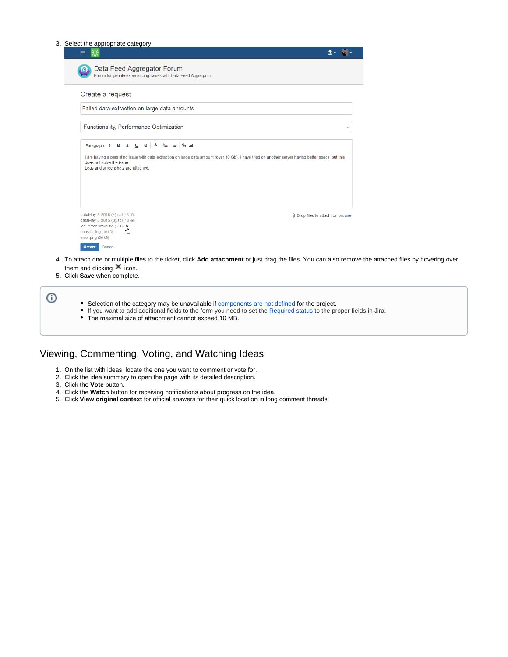| Data Feed Aggregator Forum<br>ൈ                                                                                                                                                                                        |                                   |
|------------------------------------------------------------------------------------------------------------------------------------------------------------------------------------------------------------------------|-----------------------------------|
| Forum for people experiencing issues with Data Feed Aggregator                                                                                                                                                         |                                   |
| Create a request                                                                                                                                                                                                       |                                   |
| Failed data extraction on large data amounts                                                                                                                                                                           |                                   |
| Functionality, Performance Optimization                                                                                                                                                                                |                                   |
| Paragraph $\div$ B                                                                                                                                                                                                     |                                   |
| I am having a persisting issue with data extraction on large data amount (over 10 Gb). I have tried on another server having better specs, but this<br>does not solve the issue.<br>Logs and screenshots are attached. |                                   |
|                                                                                                                                                                                                                        |                                   |
| dataMay-8-2015 (4).sql (16 kB)<br>dataMay-8-2015 (3).sql (16 kB)<br>log_error-xray1.txt (8 kB) x<br>console.log (10 kB)<br>error.png (26 kB)                                                                           | U Drop files to attach, or browse |
| Create<br>Cancel                                                                                                                                                                                                       |                                   |

 $\odot$ Selection of the category may be unavailable if [components are not defined](https://confluence.atlassian.com/jira/defining-a-component-185729533.html) for the project. If you want to add additional fields to the form you need to set the [Required status](https://docs.stiltsoft.com/display/public/CustomerCase/FAQ#FAQ-Icannotenablecategoriesfortheforum.WhatcanIdo?) to the proper fields in Jira. • The maximal size of attachment cannot exceed 10 MB.

## <span id="page-1-0"></span>Viewing, Commenting, Voting, and Watching Ideas

- 1. On the list with ideas, locate the one you want to comment or vote for.
- 2. Click the idea summary to open the page with its detailed description.
- 3. Click the **Vote** button.
- 4. Click the **Watch** button for receiving notifications about progress on the idea.
- 5. Click **View original context** for official answers for their quick location in long comment threads.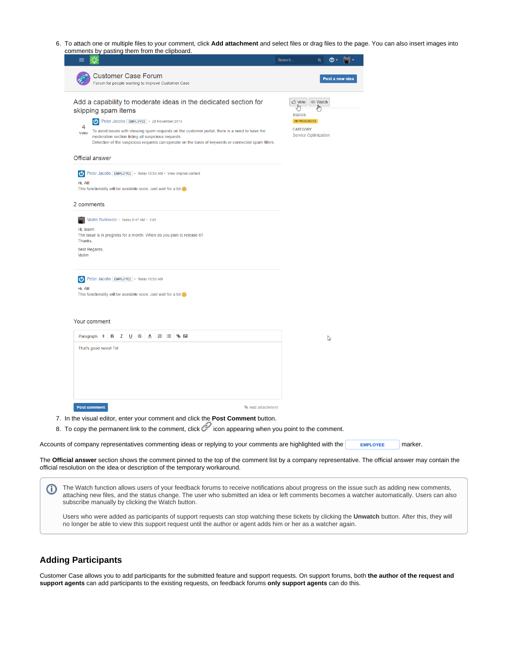6. To attach one or multiple files to your comment, click **Add attachment** and select files or drag files to the page. You can also insert images into comments by pasting them from the clipboard.

| XX.<br>≡                                                                                                                                                                                                                                                                                                                                                                                                          |                                                                                                  |
|-------------------------------------------------------------------------------------------------------------------------------------------------------------------------------------------------------------------------------------------------------------------------------------------------------------------------------------------------------------------------------------------------------------------|--------------------------------------------------------------------------------------------------|
| <b>Customer Case Forum</b><br>Forum for people wanting to improve Customer Case                                                                                                                                                                                                                                                                                                                                   | Post a new idea                                                                                  |
| Add a capability to moderate ideas in the dedicated section for<br>skipping spam items<br>Peter Jacobs EMPLOYEE   28 November 2014<br>4<br>To avoid issues with showing spam requests on the customer portal, there is a need to have the<br>Votes<br>moderation section listing all suspicious requests.<br>Detection of the suspicious requests can operate on the basis of keywords or connected spam filters. | tote   ⊙ Watch<br><b>STATUS</b><br><b>IN PROGRESS</b><br><b>CATEGORY</b><br>Service Optimization |
| <b>Official answer</b>                                                                                                                                                                                                                                                                                                                                                                                            |                                                                                                  |
| D Peter Jacobs EMPLOYEE • Today 10:50 AM • View original context<br>Hi, All!<br>This functionality will be available soon. Just wait for a bit @                                                                                                                                                                                                                                                                  |                                                                                                  |
| 2 comments<br>Vadim Rutkevich · Today 9:47 AM · Edit<br><b>PO</b>                                                                                                                                                                                                                                                                                                                                                 |                                                                                                  |
| Hi, team!<br>The issue is in progress for a month. When do you plan to release it?<br>Thanks.                                                                                                                                                                                                                                                                                                                     |                                                                                                  |
| Best Regards,<br>Vadim                                                                                                                                                                                                                                                                                                                                                                                            |                                                                                                  |
| Peter Jacobs EMPLOYEE • Today 10:50 AM                                                                                                                                                                                                                                                                                                                                                                            |                                                                                                  |
| Hi, All!<br>This functionality will be available soon. Just wait for a bit (2)                                                                                                                                                                                                                                                                                                                                    |                                                                                                  |
| Your comment                                                                                                                                                                                                                                                                                                                                                                                                      |                                                                                                  |
| Paragraph $\div$ B $I \cup \div$ A $\equiv \equiv \$                                                                                                                                                                                                                                                                                                                                                              | $\heartsuit$                                                                                     |
| That's good news! Tx!                                                                                                                                                                                                                                                                                                                                                                                             |                                                                                                  |
|                                                                                                                                                                                                                                                                                                                                                                                                                   |                                                                                                  |
|                                                                                                                                                                                                                                                                                                                                                                                                                   |                                                                                                  |
| <b>Post comment</b><br>Add attachment                                                                                                                                                                                                                                                                                                                                                                             |                                                                                                  |
| 7. In the visual editor, enter your comment and click the Post Comment button.<br>8. To copy the permanent link to the comment, click icon appearing when you point to the comment.                                                                                                                                                                                                                               |                                                                                                  |
|                                                                                                                                                                                                                                                                                                                                                                                                                   |                                                                                                  |
| Accounts of company representatives commenting ideas or replying to your comments are highlighted with the                                                                                                                                                                                                                                                                                                        | marker.<br><b>EMPLOYEE</b>                                                                       |

The Watch function allows users of your feedback forums to receive notifications about progress on the issue such as adding new comments, O attaching new files, and the status change. The user who submitted an idea or left comments becomes a watcher automatically. Users can also

Users who were added as participants of support requests can stop watching these tickets by clicking the **Unwatch** button. After this, they will no longer be able to view this support request until the author or agent adds him or her as a watcher again.

#### <span id="page-2-0"></span>**Adding Participants**

official resolution on the idea or description of the temporary workaround.

subscribe manually by clicking the Watch button.

Customer Case allows you to add participants for the submitted feature and support requests. On support forums, both **the author of the request and support agents** can add participants to the existing requests, on feedback forums **only support agents** can do this.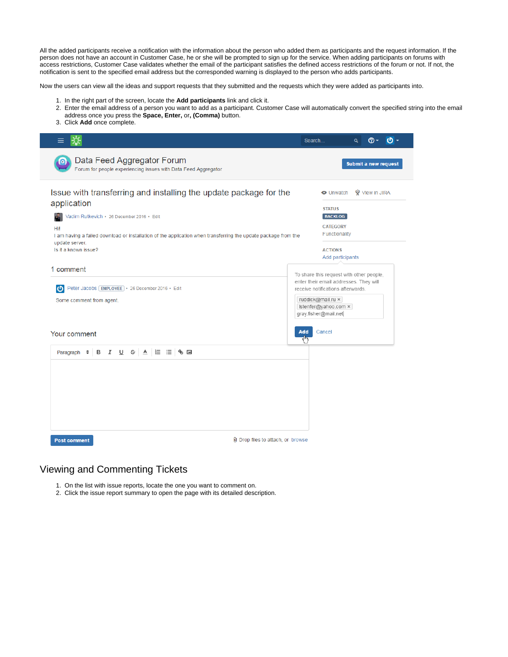All the added participants receive a notification with the information about the person who added them as participants and the request information. If the person does not have an account in Customer Case, he or she will be prompted to sign up for the service. When adding participants on forums with access restrictions, Customer Case validates whether the email of the participant satisfies the defined access restrictions of the forum or not. If not, the notification is sent to the specified email address but the corresponded warning is displayed to the person who adds participants.

Now the users can view all the ideas and support requests that they submitted and the requests which they were added as participants into.

- 1. In the right part of the screen, locate the **Add participants** link and click it.
- 2. Enter the email address of a person you want to add as a participant. Customer Case will automatically convert the specified string into the email address once you press the **Space, Enter,** or**, (Comma)** button.
- 3. Click **Add** once complete.

|                                                                                                                                                                                                                                                                                                  | Search                            | டு -<br>⑦ -<br>Q                                                                                                                                                                                                           |  |  |  |
|--------------------------------------------------------------------------------------------------------------------------------------------------------------------------------------------------------------------------------------------------------------------------------------------------|-----------------------------------|----------------------------------------------------------------------------------------------------------------------------------------------------------------------------------------------------------------------------|--|--|--|
| Data Feed Aggregator Forum<br>Forum for people experiencing issues with Data Feed Aggregator                                                                                                                                                                                                     |                                   | Submit a new request                                                                                                                                                                                                       |  |  |  |
| Issue with transferring and installing the update package for the<br>application<br>Vadim Rutkevich · 26 December 2016 · Edit<br>Hil<br>I am having a failed download or installation of the application when transferring the update package from the<br>update server.<br>Is it a known issue? |                                   | <b>W</b> View in JIRA<br><b>O</b> Unwatch<br><b>STATUS</b><br><b>BACKLOG</b><br><b>CATEGORY</b><br>Functionality<br><b>ACTIONS</b>                                                                                         |  |  |  |
| 1 comment<br>Peter Jacobs [EMPLOYEE] · 26 December 2016 · Edit<br>$\boldsymbol{\sigma}$<br>Some comment from agent.<br>Your comment                                                                                                                                                              | Add                               | Add participants<br>To share this request with other people,<br>enter their email addresses. They will<br>receive notifications afterwards.<br>ruddick@mail.ru ×<br>Istenfer@yahoo.com ×<br>gray.fisher@mail.net<br>Cancel |  |  |  |
| Paragraph $\div$ B $I \cup \div$ A $E \equiv \$<br><b>Post comment</b>                                                                                                                                                                                                                           | U Drop files to attach, or browse |                                                                                                                                                                                                                            |  |  |  |
|                                                                                                                                                                                                                                                                                                  |                                   |                                                                                                                                                                                                                            |  |  |  |

### <span id="page-3-0"></span>Viewing and Commenting Tickets

- 1. On the list with issue reports, locate the one you want to comment on.
- 2. Click the issue report summary to open the page with its detailed description.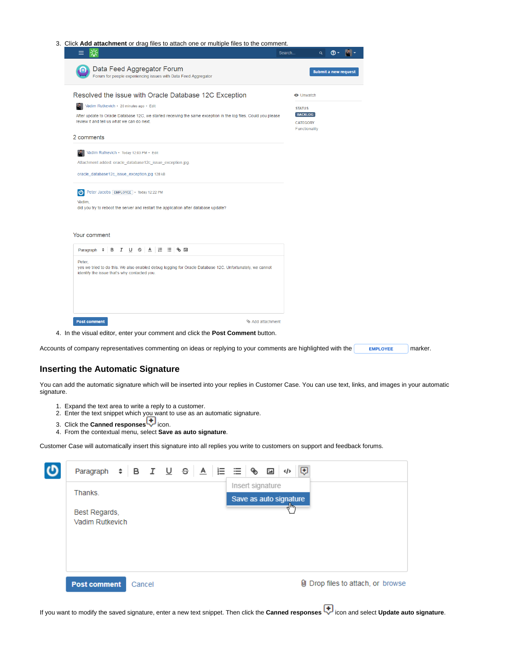| 水<br>≡                                                                                                                                                                                                                | Search | $\alpha$                                           | $\circledcirc$ -            |  |
|-----------------------------------------------------------------------------------------------------------------------------------------------------------------------------------------------------------------------|--------|----------------------------------------------------|-----------------------------|--|
| Data Feed Aggregator Forum<br>$\bullet$<br>Forum for people experiencing issues with Data Feed Aggregator                                                                                                             |        |                                                    | <b>Submit a new request</b> |  |
| Resolved the issue with Oracle Database 12C Exception                                                                                                                                                                 |        | <b>O</b> Unwatch                                   |                             |  |
| Vadim Rutkevich · 20 minutes ago · Edit<br>$\mathbf{a}$                                                                                                                                                               |        | <b>STATUS</b>                                      |                             |  |
| After update to Oracle Database 12C, we started receiving the same exception in the log files. Could you please<br>review it and tell us what we can do next.                                                         |        | <b>BACKLOG</b><br><b>CATEGORY</b><br>Functionality |                             |  |
| 2 comments                                                                                                                                                                                                            |        |                                                    |                             |  |
| Vadim Rutkevich · Today 12:03 PM · Edit                                                                                                                                                                               |        |                                                    |                             |  |
| Attachment added: oracle_database12c_issue_exception.jpg                                                                                                                                                              |        |                                                    |                             |  |
| oracle_database12c_issue_exception.jpg 128 kB                                                                                                                                                                         |        |                                                    |                             |  |
| Peter Jacobs [EMPLOYEE] · Today 12:22 PM<br>ဖ                                                                                                                                                                         |        |                                                    |                             |  |
| Vadim.<br>did you try to reboot the server and restart the application after database update?                                                                                                                         |        |                                                    |                             |  |
| Your comment<br>Paragraph ≑ B I U S A   E ⊟ S ⊡<br>Peter,<br>yes we tried to do this. We also enabled debug logging for Oracle Database 12C. Unfortunately, we cannot<br>identify the issue that's why contacted you. |        |                                                    |                             |  |
| Add attachment<br><b>Post comment</b>                                                                                                                                                                                 |        |                                                    |                             |  |

#### <span id="page-4-0"></span>**Inserting the Automatic Signature**

You can add the automatic signature which will be inserted into your replies in Customer Case. You can use text, links, and images in your automatic signature.

- 1. Expand the text area to write a reply to a customer.
- 2. Enter the text snippet which you want to use as an automatic signature.
- **3. Click the Canned responses**<sup>-</sup>
- 4. From the contextual menu, select **Save as auto signature**.

Customer Case will automatically insert this signature into all replies you write to customers on support and feedback forums.

| $\mathbf{C}$ | Paragraph $\div$   B $I \cup \div$   $\angle$   $\angle$   $\angle$   $\angle$   $\angle$   $\angle$   $\angle$   $\angle$   $\angle$   $\angle$   $\angle$   $\angle$   $\angle$   $\angle$   $\angle$   $\angle$   $\angle$   $\angle$   $\angle$   $\angle$   $\angle$   $\angle$   $\angle$   $\angle$   $\angle$   $\angle$   $\angle$   $\angle$ | ⊕<br>                                      |
|--------------|--------------------------------------------------------------------------------------------------------------------------------------------------------------------------------------------------------------------------------------------------------------------------------------------------------------------------------------------------------|--------------------------------------------|
|              | Thanks.                                                                                                                                                                                                                                                                                                                                                | Insert signature<br>Save as auto signature |
|              | Best Regards,<br>Vadim Rutkevich                                                                                                                                                                                                                                                                                                                       | तीक                                        |
|              | <b>Post comment</b><br>Cancel                                                                                                                                                                                                                                                                                                                          | U Drop files to attach, or browse          |

If you want to modify the saved signature, enter a new text snippet. Then click the **Canned responses**  $\Box$  icon and select **Update auto signature**.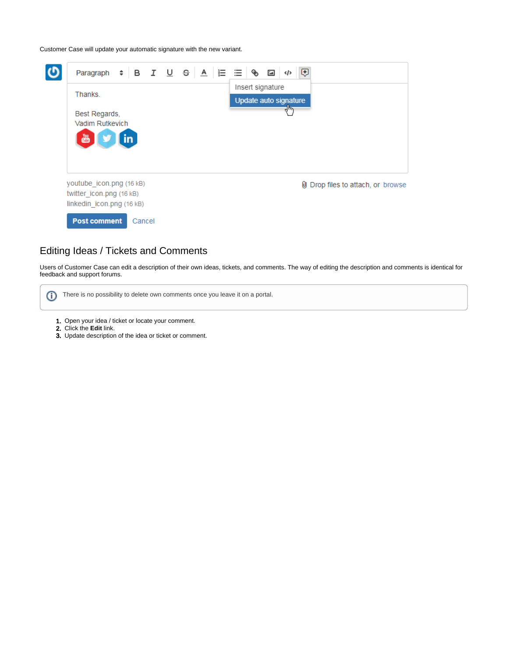Customer Case will update your automatic signature with the new variant.



#### <span id="page-5-0"></span>Editing Ideas / Tickets and Comments

Users of Customer Case can edit a description of their own ideas, tickets, and comments. The way of editing the description and comments is identical for feedback and support forums.